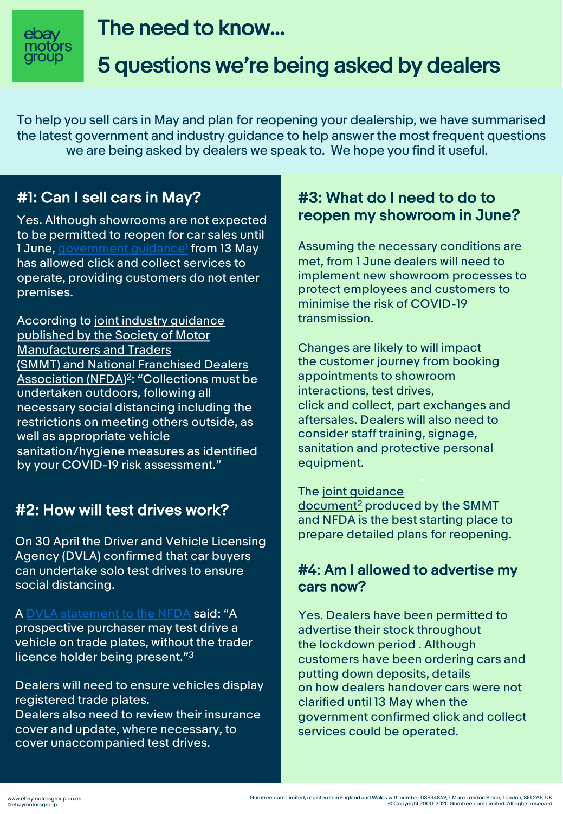

# The need to know...

# 5 questions we're being asked by dealers

To help you sell cars in May and plan for reopening your dealership, we have summarised the latest government and industry guidance to help answer the most frequent questions we are being asked by dealers we speak to. We hope you find it useful.

# #1: Can I sell cars in May?

Yes. Although showrooms are not expected to be p[ermitted to reopen for c](https://www.gov.uk/government/publications/further-businesses-and-premises-to-close/further-businesses-and-premises-to-close-guidance)ar sales until 1 June, government guidance<sup>1</sup> from 13 May has allowed click and collect services to operate, providing customers do not enter premises.

According to joint industry guidance published by the Society of Motor Manufacturers and Traders (SMMT) and [National Franchised Dealers](https://0a411afb0c598242cc95-1df470064133d6bc5c471837468f475c.ssl.cf3.rackcdn.com/publish/wp-content/uploads/2020/05/NFDA_SMMT_Industry-Guidance-COVID-19-Protective-Measures-for-Auto-Retail....pdf)  Association (NFDA)<sup>2</sup>: "Collections must be undertaken outdoors, following all necessary social distancing including the restrictions on meeting others outside, as well as appropriate vehicle sanitation/hygiene measures as identified by your COVID-19 risk assessment."

# #2: How will test drives work?

On 30 April the Driver and Vehicle Licensing Agency (DVLA) confirmed that car buyers can undertake solo test drives to ensure social distancing.

A DVLA statement to the NFDA said: "A prospective purchaser may test drive a vehicle on trade plates, without the trader licence holder being present."3

Dealers will need to ensure vehicles display registered trade plates. Dealers also need to review their insurance cover and update, where necessary, to cover unaccompanied test drives.

### #3: What do I need to do to reopen my showroom in June?

Assuming the necessary conditions are met, from 1 June dealers will need to implement new showroom processes to protect employees and customers to minimise the risk of COVID-19 transmission.

Changes are likely to will impact the customer journey from booking appointments to showroom interactions, test drives, click and collect, part exchanges and aftersales. Dealers will also need to consider staff training, signage, sanitation and protective personal equipment.

#### The [joint guidance](https://0a411afb0c598242cc95-1df470064133d6bc5c471837468f475c.ssl.cf3.rackcdn.com/publish/wp-content/uploads/2020/05/NFDA_SMMT_Industry-Guidance-COVID-19-Protective-Measures-for-Auto-Retail....pdf)

document2 produced by the SMMT and NFDA is the best starting place to prepare detailed plans for reopening.

### #4: Am I allowed to advertise my cars now?

Yes. Dealers have been permitted to advertise their stock throughout the lockdown period . Although customers have been ordering cars and putting down deposits, details on how dealers handover cars were not clarified until 13 May when the government confirmed click and collect services could be operated.